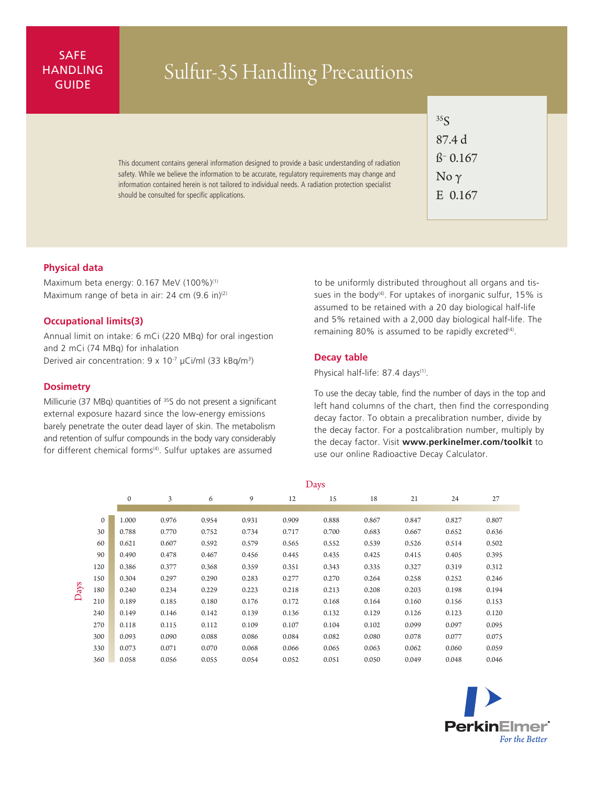# SAFE **HANDLING**

# ANDLING Sulfur-35 Handling Precautions

This document contains general information designed to provide a basic understanding of radiation safety. While we believe the information to be accurate, regulatory requirements may change and information contained herein is not tailored to individual needs. A radiation protection specialist should be consulted for specific applications.

| ${}^{35}S$ |                            |
|------------|----------------------------|
|            | 87.4 d                     |
|            | $\beta$ <sup>-</sup> 0.167 |
|            | No $\gamma$                |
|            | E 0.167                    |

#### **Physical data**

Maximum beta energy: 0.167 MeV (100%)<sup>(1)</sup> Maximum range of beta in air: 24 cm  $(9.6 \text{ in})^{(2)}$ 

#### **Occupational limits(3)**

Annual limit on intake: 6 mCi (220 MBq) for oral ingestion and 2 mCi (74 MBq) for inhalation Derived air concentration:  $9 \times 10^{-7}$  µCi/ml (33 kBq/m<sup>3</sup>)

#### **Dosimetry**

Millicurie (37 MBq) quantities of <sup>35</sup>S do not present a significant external exposure hazard since the low-energy emissions barely penetrate the outer dead layer of skin. The metabolism and retention of sulfur compounds in the body vary considerably for different chemical forms<sup>(4)</sup>. Sulfur uptakes are assumed

to be uniformly distributed throughout all organs and tissues in the body<sup>(4)</sup>. For uptakes of inorganic sulfur, 15% is assumed to be retained with a 20 day biological half-life and 5% retained with a 2,000 day biological half-life. The remaining 80% is assumed to be rapidly excreted<sup>(4)</sup>.

#### **Decay table**

Physical half-life: 87.4 days<sup>(1)</sup>.

To use the decay table, find the number of days in the top and left hand columns of the chart, then find the corresponding decay factor. To obtain a precalibration number, divide by the decay factor. For a postcalibration number, multiply by the decay factor. Visit **www.perkinelmer.com/toolkit** to use our online Radioactive Decay Calculator.

|      |          | $\mathbf{0}$ | 3     | 6     | 9     | 12    | 15    | 18    | 21    | 24    | 27    |  |
|------|----------|--------------|-------|-------|-------|-------|-------|-------|-------|-------|-------|--|
|      |          |              |       |       |       |       |       |       |       |       |       |  |
| Days | $\Omega$ | 1.000        | 0.976 | 0.954 | 0.931 | 0.909 | 0.888 | 0.867 | 0.847 | 0.827 | 0.807 |  |
|      | 30       | 0.788        | 0.770 | 0.752 | 0.734 | 0.717 | 0.700 | 0.683 | 0.667 | 0.652 | 0.636 |  |
|      | 60       | 0.621        | 0.607 | 0.592 | 0.579 | 0.565 | 0.552 | 0.539 | 0.526 | 0.514 | 0.502 |  |
|      | 90       | 0.490        | 0.478 | 0.467 | 0.456 | 0.445 | 0.435 | 0.425 | 0.415 | 0.405 | 0.395 |  |
|      | 120      | 0.386        | 0.377 | 0.368 | 0.359 | 0.351 | 0.343 | 0.335 | 0.327 | 0.319 | 0.312 |  |
|      | 150      | 0.304        | 0.297 | 0.290 | 0.283 | 0.277 | 0.270 | 0.264 | 0.258 | 0.252 | 0.246 |  |
|      | 180      | 0.240        | 0.234 | 0.229 | 0.223 | 0.218 | 0.213 | 0.208 | 0.203 | 0.198 | 0.194 |  |
|      | 210      | 0.189        | 0.185 | 0.180 | 0.176 | 0.172 | 0.168 | 0.164 | 0.160 | 0.156 | 0.153 |  |
|      | 240      | 0.149        | 0.146 | 0.142 | 0.139 | 0.136 | 0.132 | 0.129 | 0.126 | 0.123 | 0.120 |  |
|      | 270      | 0.118        | 0.115 | 0.112 | 0.109 | 0.107 | 0.104 | 0.102 | 0.099 | 0.097 | 0.095 |  |
|      | 300      | 0.093        | 0.090 | 0.088 | 0.086 | 0.084 | 0.082 | 0.080 | 0.078 | 0.077 | 0.075 |  |
|      | 330      | 0.073        | 0.071 | 0.070 | 0.068 | 0.066 | 0.065 | 0.063 | 0.062 | 0.060 | 0.059 |  |
|      | 360      | 0.058        | 0.056 | 0.055 | 0.054 | 0.052 | 0.051 | 0.050 | 0.049 | 0.048 | 0.046 |  |



## Days